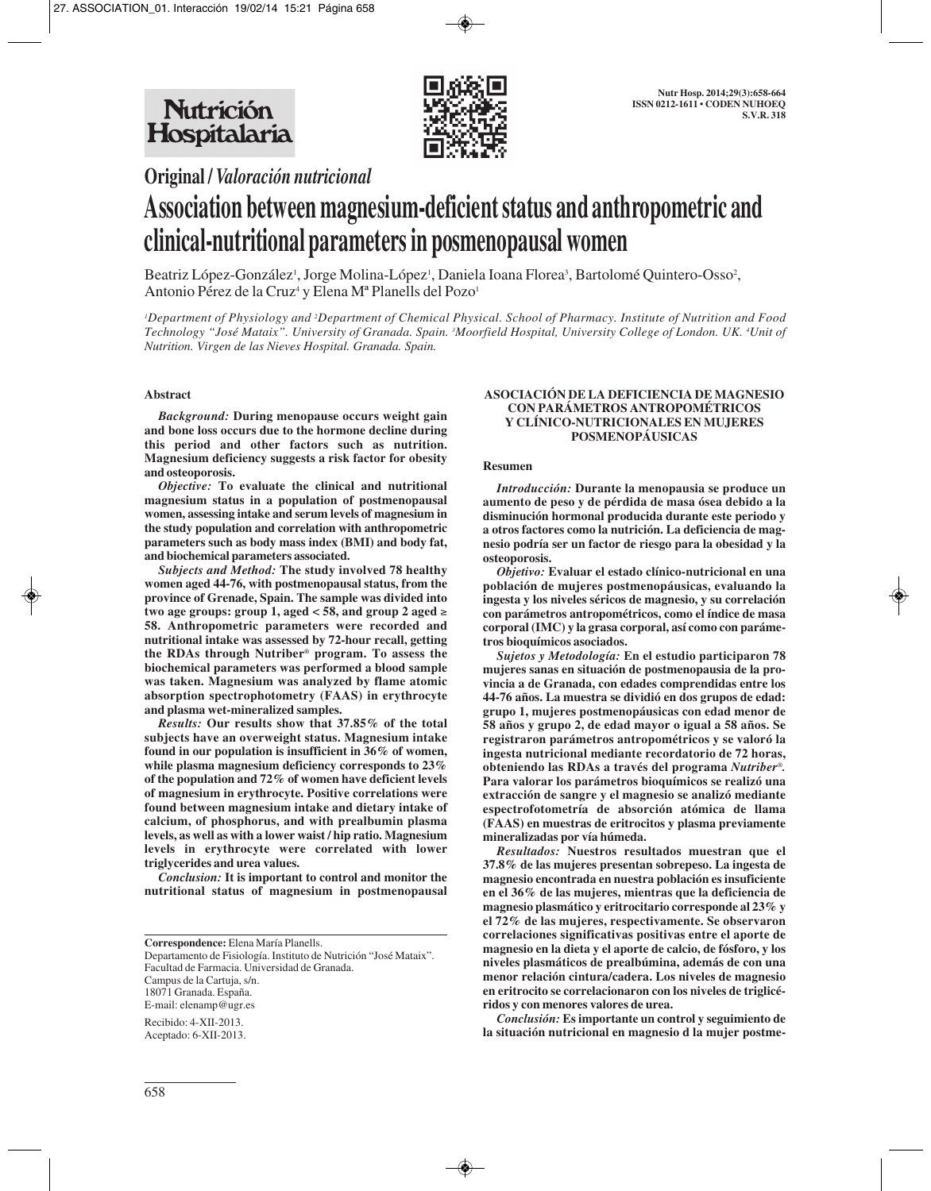

**Original /** *Valoración nutricional*

# **Association between magnesium-deficient status and anthropometric and clinical-nutritional parameters in posmenopausal women**

Beatriz López-González<sup>1</sup>, Jorge Molina-López<sup>1</sup>, Daniela Ioana Florea<sup>3</sup>, Bartolomé Quintero-Osso<sup>2</sup>, Antonio Pérez de la Cruz<sup>4</sup> y Elena M<sup>a</sup> Planells del Pozo<sup>1</sup>

*1 Department of Physiology and 2 Department of Chemical Physical. School of Pharmacy. Institute of Nutrition and Food Technology "José Mataix". University of Granada. Spain. 3 Moorfield Hospital, University College of London. UK. 4 Unit of Nutrition. Virgen de las Nieves Hospital. Granada. Spain.*

## **Abstract**

*Background:* **During menopause occurs weight gain and bone loss occurs due to the hormone decline during this period and other factors such as nutrition. Magnesium deficiency suggests a risk factor for obesity** and osteoporosis.

*Objective:* **To evaluate the clinical and nutritional magnesium status in a population of postmenopausal women, assessing intake and serum levels of magnesium in the study population and correlation with anthropometric parameters such as body mass index (BMI) and body fat, and biochemical parameters associated.**

*Subjects and Method:* **The study involved 78 healthy women aged 44-76, with postmenopausal status, from the province of Grenade, Spain. The sample was divided into two age groups: group 1, aged < 58, and group 2 aged** ≥ **58. Anthropometric parameters were recorded and nutritional intake was assessed by 72-hour recall, getting the RDAs through Nutriber® program. To assess the biochemical parameters was performed a blood sample was taken. Magnesium was analyzed by flame atomic absorption spectrophotometry (FAAS) in erythrocyte and plasma wet-mineralized samples.** 

*Results:* **Our results show that 37.85% of the total subjects have an overweight status. Magnesium intake found in our population is insufficient in 36% of women, while plasma magnesium deficiency corresponds to 23% of the population and 72% of women have deficient levels of magnesium in erythrocyte. Positive correlations were found between magnesium intake and dietary intake of calcium, of phosphorus, and with prealbumin plasma levels, as well as with a lower waist / hip ratio. Magnesium levels in erythrocyte were correlated with lower triglycerides and urea values.**

*Conclusion:* **It is important to control and monitor the nutritional status of magnesium in postmenopausal**

Departamento de Fisiología. Instituto de Nutrición "José Mataix". Facultad de Farmacia. Universidad de Granada. Campus de la Cartuja, s/n. 18071 Granada. España. E-mail: elenamp@ugr.es

Recibido: 4-XII-2013. Aceptado: 6-XII-2013.

## **ASOCIACIÓN DE LA DEFICIENCIA DE MAGNESIO CON PARÁMETROS ANTROPOMÉTRICOS Y CLÍNICO-NUTRICIONALES EN MUJERES POSMENOPÁUSICAS**

### **Resumen**

*Introducción:* **Durante la menopausia se produce un aumento de peso y de pérdida de masa ósea debido a la disminución hormonal producida durante este periodo y a otros factores como la nutrición. La deficiencia de magnesio podría ser un factor de riesgo para la obesidad y la osteoporosis.**

*Objetivo:* **Evaluar el estado clínico-nutricional en una población de mujeres postmenopáusicas, evaluando la ingesta y los niveles séricos de magnesio, y su correlación con parámetros antropométricos, como el índice de masa corporal (IMC) y la grasa corporal, así como con parámetros bioquímicos asociados.** 

*Sujetos y Metodología:* **En el estudio participaron 78 mujeres sanas en situación de postmenopausia de la provincia a de Granada, con edades comprendidas entre los 44-76 años. La muestra se dividió en dos grupos de edad: grupo 1, mujeres postmenopáusicas con edad menor de 58 años y grupo 2, de edad mayor o igual a 58 años. Se registraron parámetros antropométricos y se valoró la ingesta nutricional mediante recordatorio de 72 horas, obteniendo las RDAs a través del programa** *Nutriber®.* **Para valorar los parámetros bioquímicos se realizó una extracción de sangre y el magnesio se analizó mediante espectrofotometría de absorción atómica de llama (FAAS) en muestras de eritrocitos y plasma previamente mineralizadas por vía húmeda.**

*Resultados:* **Nuestros resultados muestran que el 37.8% de las mujeres presentan sobrepeso. La ingesta de magnesio encontrada en nuestra población es insuficiente en el 36% de las mujeres, mientras que la deficiencia de magnesio plasmático y eritrocitario corresponde al 23% y el 72% de las mujeres, respectivamente. Se observaron correlaciones significativas positivas entre el aporte de magnesio en la dieta y el aporte de calcio, de fósforo, y los niveles plasmáticos de prealbúmina, además de con una menor relación cintura/cadera. Los niveles de magnesio en eritrocito se correlacionaron con los niveles de triglicéridos y con menores valores de urea.**

*Conclusión:* **Es importante un control y seguimiento de la situación nutricional en magnesio d la mujer postme-**

**Correspondence:** Elena María Planells.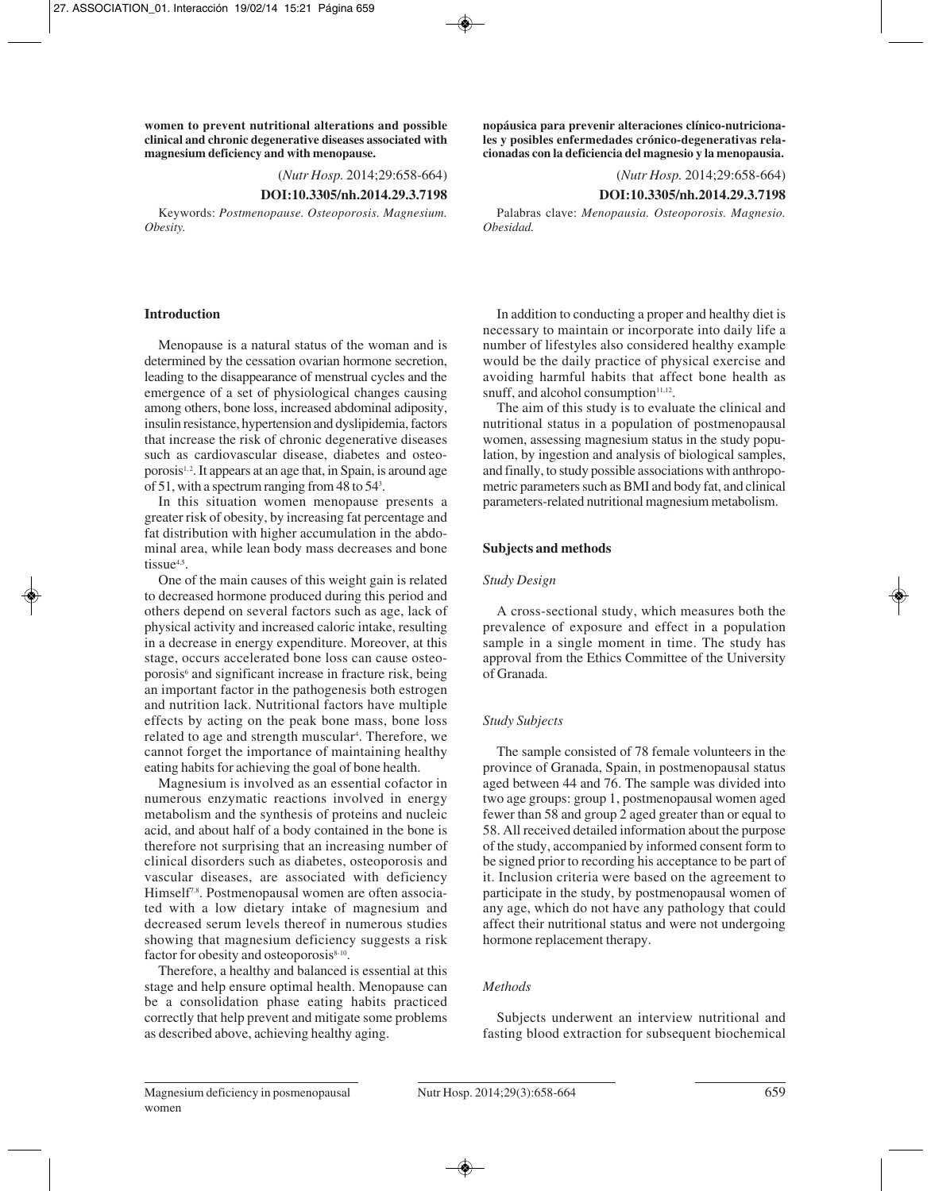**women to prevent nutritional alterations and possible clinical and chronic degenerative diseases associated with magnesium deficiency and with menopause.**

(*Nutr Hosp.* 2014;29:658-664)

# **DOI:10.3305/nh.2014.29.3.7198**

Keywords: *Postmenopause. Osteoporosis. Magnesium. Obesity.*

## **Introduction**

Menopause is a natural status of the woman and is determined by the cessation ovarian hormone secretion, leading to the disappearance of menstrual cycles and the emergence of a set of physiological changes causing among others, bone loss, increased abdominal adiposity, insulin resistance, hypertension and dyslipidemia, factors that increase the risk of chronic degenerative diseases such as cardiovascular disease, diabetes and osteoporosis<sup>1, 2</sup>. It appears at an age that, in Spain, is around age of 51, with a spectrum ranging from 48 to 543 .

In this situation women menopause presents a greater risk of obesity, by increasing fat percentage and fat distribution with higher accumulation in the abdominal area, while lean body mass decreases and bone tissue4,5.

One of the main causes of this weight gain is related to decreased hormone produced during this period and others depend on several factors such as age, lack of physical activity and increased caloric intake, resulting in a decrease in energy expenditure. Moreover, at this stage, occurs accelerated bone loss can cause osteoporosis6 and significant increase in fracture risk, being an important factor in the pathogenesis both estrogen and nutrition lack. Nutritional factors have multiple effects by acting on the peak bone mass, bone loss related to age and strength muscular<sup>4</sup>. Therefore, we cannot forget the importance of maintaining healthy eating habits for achieving the goal of bone health.

Magnesium is involved as an essential cofactor in numerous enzymatic reactions involved in energy metabolism and the synthesis of proteins and nucleic acid, and about half of a body contained in the bone is therefore not surprising that an increasing number of clinical disorders such as diabetes, osteoporosis and vascular diseases, are associated with deficiency Himself<sup>7,8</sup>. Postmenopausal women are often associated with a low dietary intake of magnesium and decreased serum levels thereof in numerous studies showing that magnesium deficiency suggests a risk factor for obesity and osteoporosis<sup>8-10</sup>.

Therefore, a healthy and balanced is essential at this stage and help ensure optimal health. Menopause can be a consolidation phase eating habits practiced correctly that help prevent and mitigate some problems as described above, achieving healthy aging.

**nopáusica para prevenir alteraciones clínico-nutricionales y posibles enfermedades crónico-degenerativas relacionadas con la deficiencia del magnesio y la menopausia.**

(*Nutr Hosp.* 2014;29:658-664)

# **DOI:10.3305/nh.2014.29.3.7198**

Palabras clave: *Menopausia. Osteoporosis. Magnesio. Obesidad.*

In addition to conducting a proper and healthy diet is necessary to maintain or incorporate into daily life a number of lifestyles also considered healthy example would be the daily practice of physical exercise and avoiding harmful habits that affect bone health as snuff, and alcohol consumption $11,12$ .

The aim of this study is to evaluate the clinical and nutritional status in a population of postmenopausal women, assessing magnesium status in the study population, by ingestion and analysis of biological samples, and finally, to study possible associations with anthropometric parameters such as BMI and body fat, and clinical parameters-related nutritional magnesium metabolism.

## **Subjects and methods**

## *Study Design*

A cross-sectional study, which measures both the prevalence of exposure and effect in a population sample in a single moment in time. The study has approval from the Ethics Committee of the University of Granada.

#### *Study Subjects*

The sample consisted of 78 female volunteers in the province of Granada, Spain, in postmenopausal status aged between 44 and 76. The sample was divided into two age groups: group 1, postmenopausal women aged fewer than 58 and group 2 aged greater than or equal to 58. All received detailed information about the purpose of the study, accompanied by informed consent form to be signed prior to recording his acceptance to be part of it. Inclusion criteria were based on the agreement to participate in the study, by postmenopausal women of any age, which do not have any pathology that could affect their nutritional status and were not undergoing hormone replacement therapy.

#### *Methods*

Subjects underwent an interview nutritional and fasting blood extraction for subsequent biochemical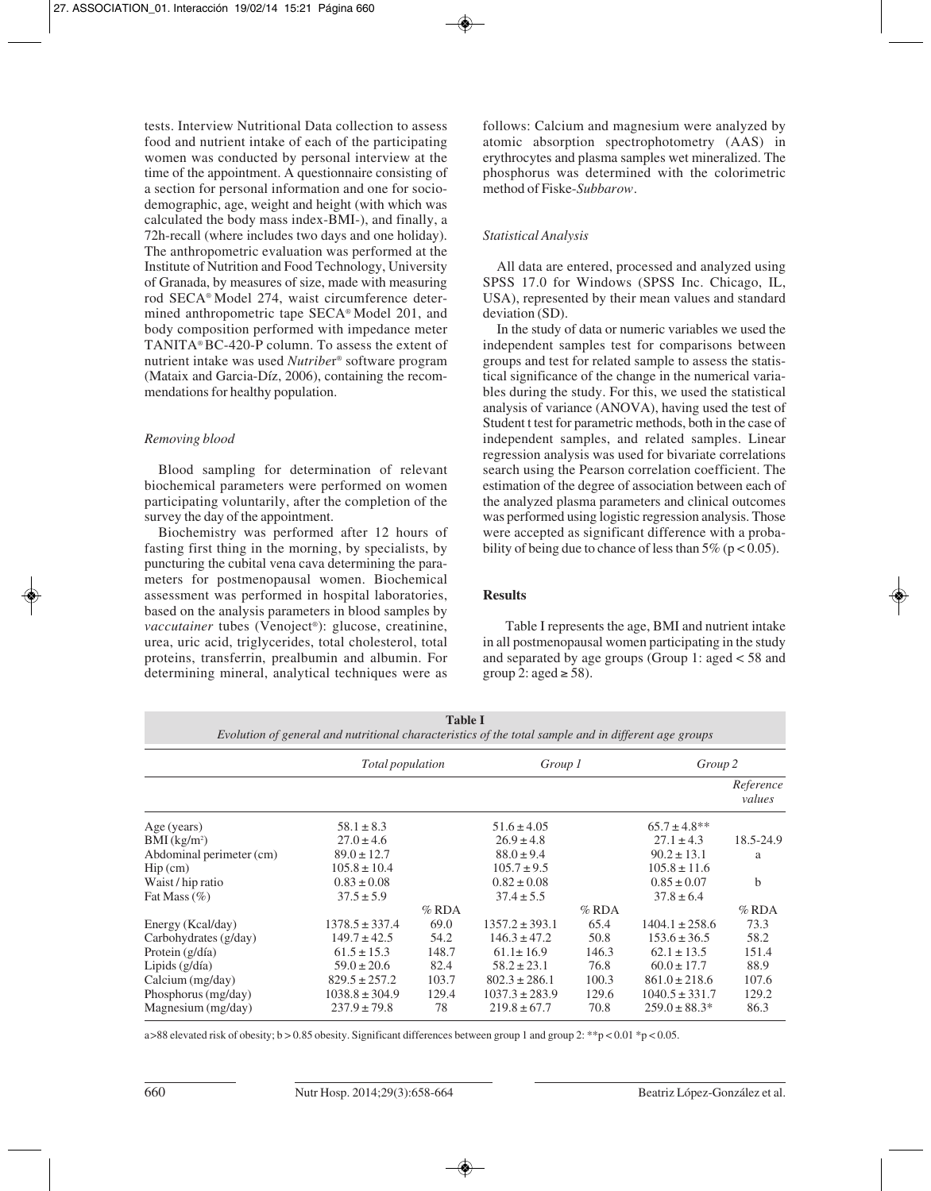tests. Interview Nutritional Data collection to assess food and nutrient intake of each of the participating women was conducted by personal interview at the time of the appointment. A questionnaire consisting of a section for personal information and one for sociodemographic, age, weight and height (with which was calculated the body mass index-BMI-), and finally, a 72h-recall (where includes two days and one holiday). The anthropometric evaluation was performed at the Institute of Nutrition and Food Technology, University of Granada, by measures of size, made with measuring rod SECA® Model 274, waist circumference determined anthropometric tape SECA® Model 201, and body composition performed with impedance meter TANITA® BC-420-P column. To assess the extent of nutrient intake was used *Nutribe*r® software program (Mataix and Garcia-Díz, 2006), containing the recommendations for healthy population.

# *Removing blood*

Blood sampling for determination of relevant biochemical parameters were performed on women participating voluntarily, after the completion of the survey the day of the appointment.

Biochemistry was performed after 12 hours of fasting first thing in the morning, by specialists, by puncturing the cubital vena cava determining the parameters for postmenopausal women. Biochemical assessment was performed in hospital laboratories, based on the analysis parameters in blood samples by vaccutainer tubes (Venoject<sup>®</sup>): glucose, creatinine, urea, uric acid, triglycerides, total cholesterol, total proteins, transferrin, prealbumin and albumin. For determining mineral, analytical techniques were as follows: Calcium and magnesium were analyzed by atomic absorption spectrophotometry (AAS) in erythrocytes and plasma samples wet mineralized. The phosphorus was determined with the colorimetric method of Fiske-*Subbarow.*

# *Statistical Analysis*

All data are entered, processed and analyzed using SPSS 17.0 for Windows (SPSS Inc. Chicago, IL, USA), represented by their mean values and standard deviation (SD).

In the study of data or numeric variables we used the independent samples test for comparisons between groups and test for related sample to assess the statistical significance of the change in the numerical varia bles during the study. For this, we used the statistical analysis of variance (ANOVA), having used the test of Student t test for parametric methods, both in the case of independent samples, and related samples. Linear regression analysis was used for bivariate correlations search using the Pearson correlation coefficient. The estimation of the degree of association between each of the analyzed plasma parameters and clinical outcomes was performed using logistic regression analysis. Those were accepted as significant difference with a probability of being due to chance of less than  $5\%$  (p < 0.05).

# **Results**

Table I represents the age, BMI and nutrient intake in all postmenopausal women participating in the study and separated by age groups (Group 1: aged < 58 and group 2: aged  $\ge$  58).

| Table 1<br>Evolution of general and nutritional characteristics of the total sample and in different age groups |                    |         |                    |         |                    |                     |  |  |
|-----------------------------------------------------------------------------------------------------------------|--------------------|---------|--------------------|---------|--------------------|---------------------|--|--|
|                                                                                                                 | Total population   |         | Group 1            |         | Group 2            |                     |  |  |
|                                                                                                                 |                    |         |                    |         |                    | Reference<br>values |  |  |
| Age (years)                                                                                                     | $58.1 \pm 8.3$     |         | $51.6 \pm 4.05$    |         | $65.7 \pm 4.8**$   |                     |  |  |
| $BMI$ (kg/m <sup>2</sup> )                                                                                      | $27.0 \pm 4.6$     |         | $26.9 \pm 4.8$     |         | $27.1 \pm 4.3$     | 18.5-24.9           |  |  |
| Abdominal perimeter (cm)                                                                                        | $89.0 \pm 12.7$    |         | $88.0 \pm 9.4$     |         | $90.2 \pm 13.1$    | a                   |  |  |
| $\text{Hip}\left(\text{cm}\right)$                                                                              | $105.8 \pm 10.4$   |         | $105.7 \pm 9.5$    |         | $105.8 \pm 11.6$   |                     |  |  |
| Waist / hip ratio                                                                                               | $0.83 \pm 0.08$    |         | $0.82 \pm 0.08$    |         | $0.85 \pm 0.07$    | $\mathbf b$         |  |  |
| Fat Mass $(\% )$                                                                                                | $37.5 \pm 5.9$     |         | $37.4 \pm 5.5$     |         | $37.8 \pm 6.4$     |                     |  |  |
|                                                                                                                 |                    | $%$ RDA |                    | $%$ RDA |                    | $%$ RDA             |  |  |
| Energy (Kcal/day)                                                                                               | $1378.5 \pm 337.4$ | 69.0    | $1357.2 \pm 393.1$ | 65.4    | $1404.1 \pm 258.6$ | 73.3                |  |  |
| Carbohydrates (g/day)                                                                                           | $149.7 \pm 42.5$   | 54.2    | $146.3 \pm 47.2$   | 50.8    | $153.6 \pm 36.5$   | 58.2                |  |  |
| Protein (g/día)                                                                                                 | $61.5 \pm 15.3$    | 148.7   | $61.1 \pm 16.9$    | 146.3   | $62.1 \pm 13.5$    | 151.4               |  |  |
| Lipids $(g/dfa)$                                                                                                | $59.0 \pm 20.6$    | 82.4    | $58.2 \pm 23.1$    | 76.8    | $60.0 \pm 17.7$    | 88.9                |  |  |
| Calcium (mg/day)                                                                                                | $829.5 \pm 257.2$  | 103.7   | $802.3 \pm 286.1$  | 100.3   | $861.0 \pm 218.6$  | 107.6               |  |  |
| Phosphorus (mg/day)                                                                                             | $1038.8 \pm 304.9$ | 129.4   | $1037.3 \pm 283.9$ | 129.6   | $1040.5 \pm 331.7$ | 129.2               |  |  |
| Magnesium (mg/day)                                                                                              | $237.9 \pm 79.8$   | 78      | $219.8 \pm 67.7$   | 70.8    | $259.0 \pm 88.3*$  | 86.3                |  |  |

**Table I**

a>88 elevated risk of obesity; b > 0.85 obesity. Significant differences between group 1 and group 2: \*\*p < 0.01 \*p < 0.05.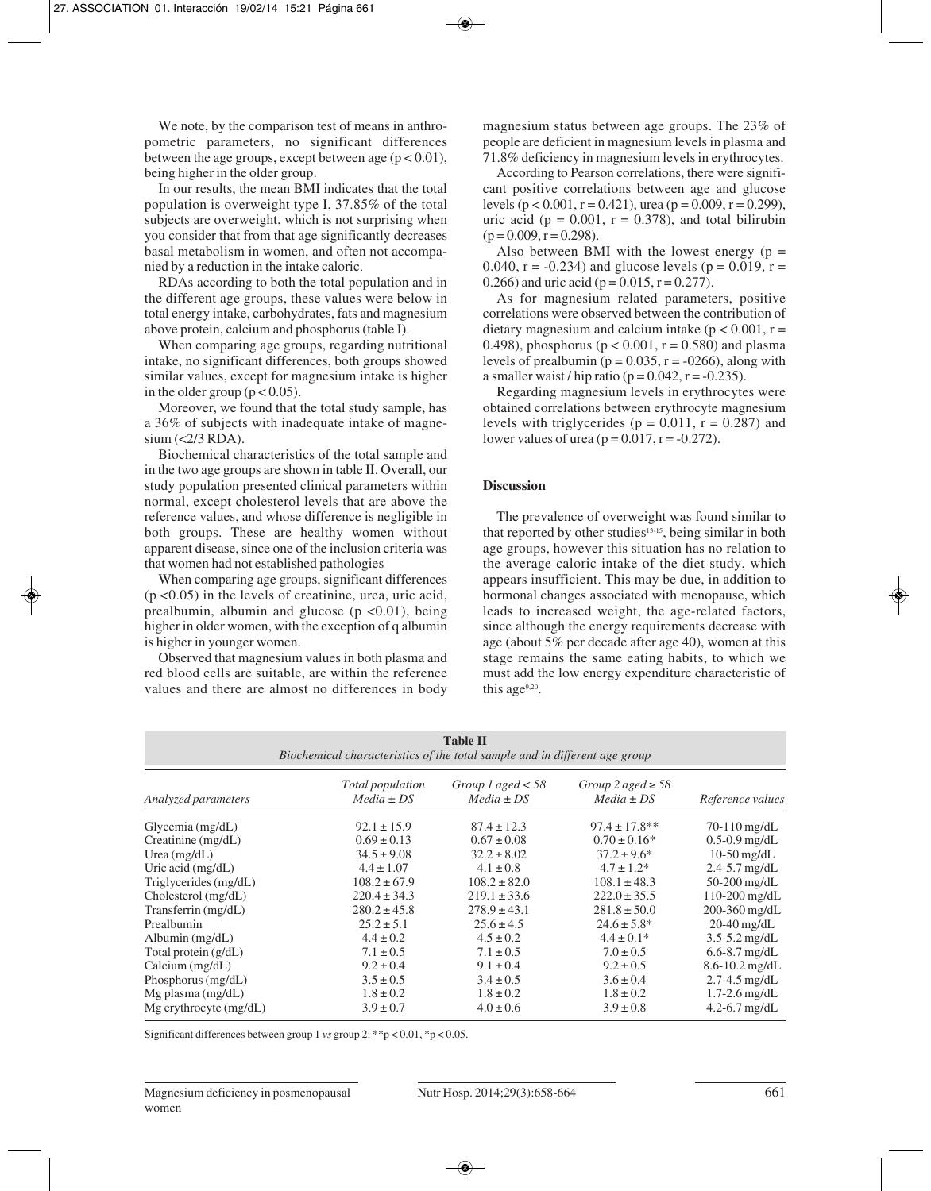We note, by the comparison test of means in anthropometric parameters, no significant differences between the age groups, except between age  $(p < 0.01)$ , being higher in the older group.

In our results, the mean BMI indicates that the total population is overweight type I, 37.85% of the total subjects are overweight, which is not surprising when you consider that from that age significantly decreases basal metabolism in women, and often not accompanied by a reduction in the intake caloric.

RDAs according to both the total population and in the different age groups, these values were below in total energy intake, carbohydrates, fats and magnesium above protein, calcium and phosphorus (table I).

When comparing age groups, regarding nutritional intake, no significant differences, both groups showed similar values, except for magnesium intake is higher in the older group ( $p < 0.05$ ).

Moreover, we found that the total study sample, has a 36% of subjects with inadequate intake of magne $sium$  (<2/3 RDA).

Biochemical characteristics of the total sample and in the two age groups are shown in table II. Overall, our study population presented clinical parameters within normal, except cholesterol levels that are above the reference values, and whose difference is negligible in both groups. These are healthy women without apparent disease, since one of the inclusion criteria was that women had not established pathologies

When comparing age groups, significant differences (p <0.05) in the levels of creatinine, urea, uric acid, prealbumin, albumin and glucose ( $p \le 0.01$ ), being higher in older women, with the exception of q albumin is higher in younger women.

Observed that magnesium values in both plasma and red blood cells are suitable, are within the reference values and there are almost no differences in body

magnesium status between age groups. The 23% of people are deficient in magnesium levels in plasma and 71.8% deficiency in magnesium levels in erythrocytes.

According to Pearson correlations, there were significant positive correlations between age and glucose levels ( $p < 0.001$ ,  $r = 0.421$ ), urea ( $p = 0.009$ ,  $r = 0.299$ ), uric acid ( $p = 0.001$ ,  $r = 0.378$ ), and total bilirubin  $(p = 0.009, r = 0.298)$ .

Also between BMI with the lowest energy  $(p =$ 0.040,  $r = -0.234$ ) and glucose levels ( $p = 0.019$ ,  $r =$ 0.266) and uric acid ( $p = 0.015$ ,  $r = 0.277$ ).

As for magnesium related parameters, positive correlations were observed between the contribution of dietary magnesium and calcium intake ( $p < 0.001$ ,  $r =$ 0.498), phosphorus ( $p < 0.001$ ,  $r = 0.580$ ) and plasma levels of prealbumin ( $p = 0.035$ ,  $r = -0266$ ), along with a smaller waist / hip ratio ( $p = 0.042$ ,  $r = -0.235$ ).

Regarding magnesium levels in erythrocytes were obtained correlations between erythrocyte magnesium levels with triglycerides ( $p = 0.011$ ,  $r = 0.287$ ) and lower values of urea ( $p = 0.017$ ,  $r = -0.272$ ).

## **Discussion**

The prevalence of overweight was found similar to that reported by other studies<sup>13-15</sup>, being similar in both age groups, however this situation has no relation to the average caloric intake of the diet study, which appears insufficient. This may be due, in addition to hormonal changes associated with menopause, which leads to increased weight, the age-related factors, since although the energy requirements decrease with age (about 5% per decade after age 40), women at this stage remains the same eating habits, to which we must add the low energy expenditure characteristic of this age<sup>9,20</sup>.

| Biochemical characteristics of the total sample and in different age group |                                    |                                       |                                          |                    |  |  |  |  |
|----------------------------------------------------------------------------|------------------------------------|---------------------------------------|------------------------------------------|--------------------|--|--|--|--|
| Analyzed parameters                                                        | Total population<br>$Media \pm DS$ | Group 1 aged $<$ 58<br>$Media \pm DS$ | Group 2 aged $\geq$ 58<br>$Media \pm DS$ | Reference values   |  |  |  |  |
| Glycemia $(mg/dL)$                                                         | $92.1 \pm 15.9$                    | $87.4 \pm 12.3$                       | $97.4 \pm 17.8$ **                       | $70 - 110$ mg/dL   |  |  |  |  |
| Creatinine $(mg/dL)$                                                       | $0.69 \pm 0.13$                    | $0.67 \pm 0.08$                       | $0.70 \pm 0.16*$                         | $0.5 - 0.9$ mg/dL  |  |  |  |  |
| Urea $(mg/dL)$                                                             | $34.5 \pm 9.08$                    | $32.2 \pm 8.02$                       | $37.2 \pm 9.6^*$                         | $10-50$ mg/dL      |  |  |  |  |
| Uric acid $(mg/dL)$                                                        | $4.4 \pm 1.07$                     | $4.1 \pm 0.8$                         | $4.7 \pm 1.2^*$                          | $2.4 - 5.7$ mg/dL  |  |  |  |  |
| Triglycerides (mg/dL)                                                      | $108.2 \pm 67.9$                   | $108.2 \pm 82.0$                      | $108.1 \pm 48.3$                         | $50-200$ mg/dL     |  |  |  |  |
| $Cholesterol$ (mg/dL)                                                      | $220.4 \pm 34.3$                   | $219.1 \pm 33.6$                      | $222.0 \pm 35.5$                         | $110-200$ mg/dL    |  |  |  |  |
| Transferrin (mg/dL)                                                        | $280.2 \pm 45.8$                   | $278.9 \pm 43.1$                      | $281.8 \pm 50.0$                         | 200-360 mg/dL      |  |  |  |  |
| Prealbumin                                                                 | $25.2 \pm 5.1$                     | $25.6 \pm 4.5$                        | $24.6 \pm 5.8^*$                         | $20-40$ mg/dL      |  |  |  |  |
| Albumin $(mg/dL)$                                                          | $4.4 \pm 0.2$                      | $4.5 \pm 0.2$                         | $4.4 \pm 0.1*$                           | $3.5 - 5.2$ mg/dL  |  |  |  |  |
| Total protein $(g/dL)$                                                     | $7.1 \pm 0.5$                      | $7.1 \pm 0.5$                         | $7.0 \pm 0.5$                            | $6.6 - 8.7$ mg/dL  |  |  |  |  |
| Calcium $(mg/dL)$                                                          | $9.2 \pm 0.4$                      | $9.1 \pm 0.4$                         | $9.2 \pm 0.5$                            | $8.6 - 10.2$ mg/dL |  |  |  |  |
| Phosphorus (mg/dL)                                                         | $3.5 \pm 0.5$                      | $3.4 \pm 0.5$                         | $3.6 \pm 0.4$                            | $2.7 - 4.5$ mg/dL  |  |  |  |  |
| $Mg$ plasma (mg/dL)                                                        | $1.8 \pm 0.2$                      | $1.8 \pm 0.2$                         | $1.8 \pm 0.2$                            | $1.7 - 2.6$ mg/dL  |  |  |  |  |
| $Mg$ erythrocyte (mg/dL)                                                   | $3.9 \pm 0.7$                      | $4.0 \pm 0.6$                         | $3.9 \pm 0.8$                            | 4.2-6.7 $mg/dL$    |  |  |  |  |

**Table II**

Significant differences between group 1 *vs* group 2: \*\*p < 0.01, \*p < 0.05.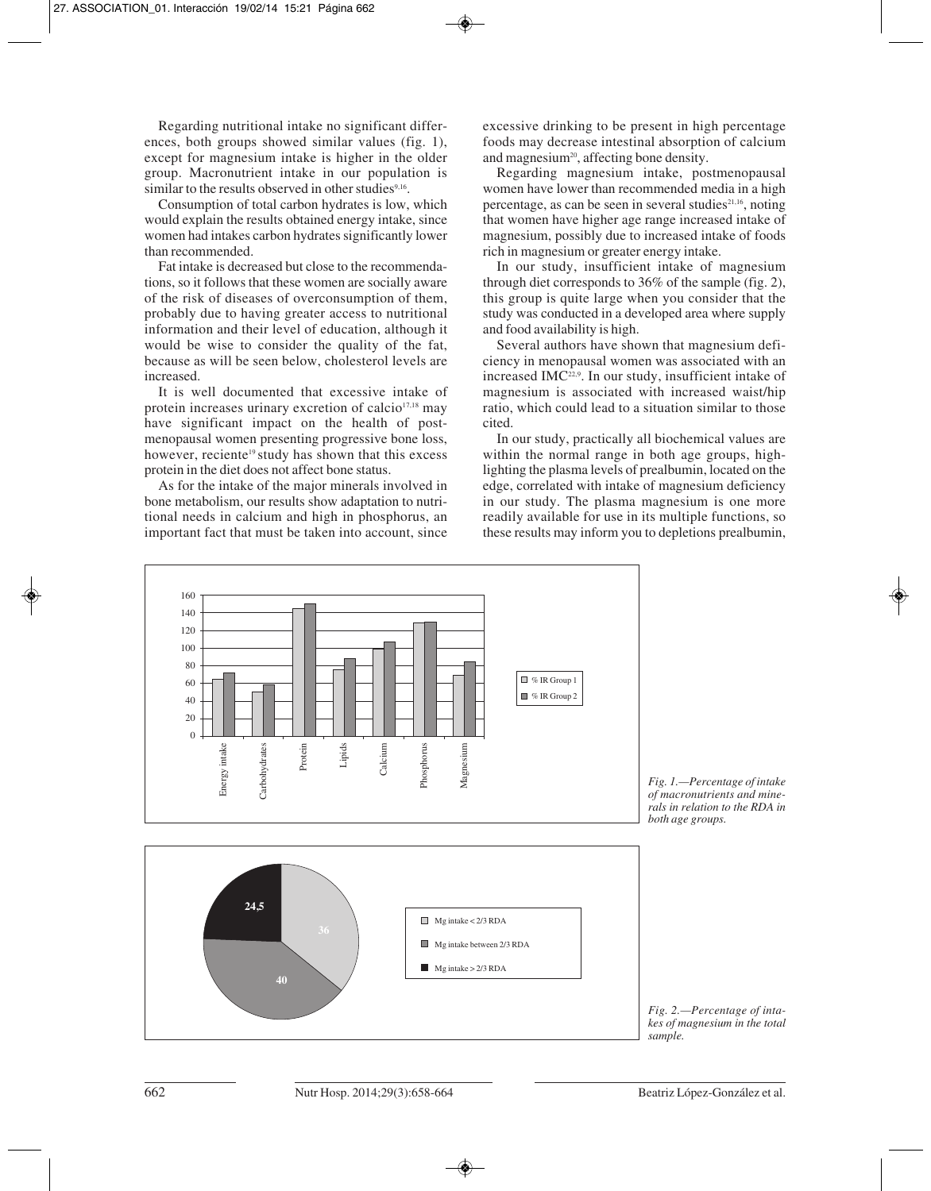Regarding nutritional intake no significant differences, both groups showed similar values (fig. 1), except for magnesium intake is higher in the older group. Macronutrient intake in our population is similar to the results observed in other studies<sup>9,16</sup>.

Consumption of total carbon hydrates is low, which would explain the results obtained energy intake, since women had intakes carbon hydrates significantly lower than recommended.

Fat intake is decreased but close to the recommendations, so it follows that these women are socially aware of the risk of diseases of overconsumption of them, probably due to having greater access to nutritional information and their level of education, although it would be wise to consider the quality of the fat, because as will be seen below, cholesterol levels are increased.

It is well documented that excessive intake of protein increases urinary excretion of calcio<sup>17,18</sup> may have significant impact on the health of postmenopausal women presenting progressive bone loss, however, reciente<sup>19</sup> study has shown that this excess protein in the diet does not affect bone status.

As for the intake of the major minerals involved in bone metabolism, our results show adaptation to nutritional needs in calcium and high in phosphorus, an important fact that must be taken into account, since

excessive drinking to be present in high percentage foods may decrease intestinal absorption of calcium and magnesium<sup>20</sup>, affecting bone density.

Regarding magnesium intake, postmenopausal women have lower than recommended media in a high percentage, as can be seen in several studies $21,16$ , noting that women have higher age range increased intake of magnesium, possibly due to increased intake of foods rich in magnesium or greater energy intake.

In our study, insufficient intake of magnesium through diet corresponds to 36% of the sample (fig. 2), this group is quite large when you consider that the study was conducted in a developed area where supply and food availability is high.

Several authors have shown that magnesium deficiency in menopausal women was associated with an increased IMC<sup>22,9</sup>. In our study, insufficient intake of magnesium is associated with increased waist/hip ratio, which could lead to a situation similar to those cited.

In our study, practically all biochemical values are within the normal range in both age groups, highlighting the plasma levels of prealbumin, located on the edge, correlated with intake of magnesium deficiency in our study. The plasma magnesium is one more readily available for use in its multiple functions, so these results may inform you to depletions prealbumin,

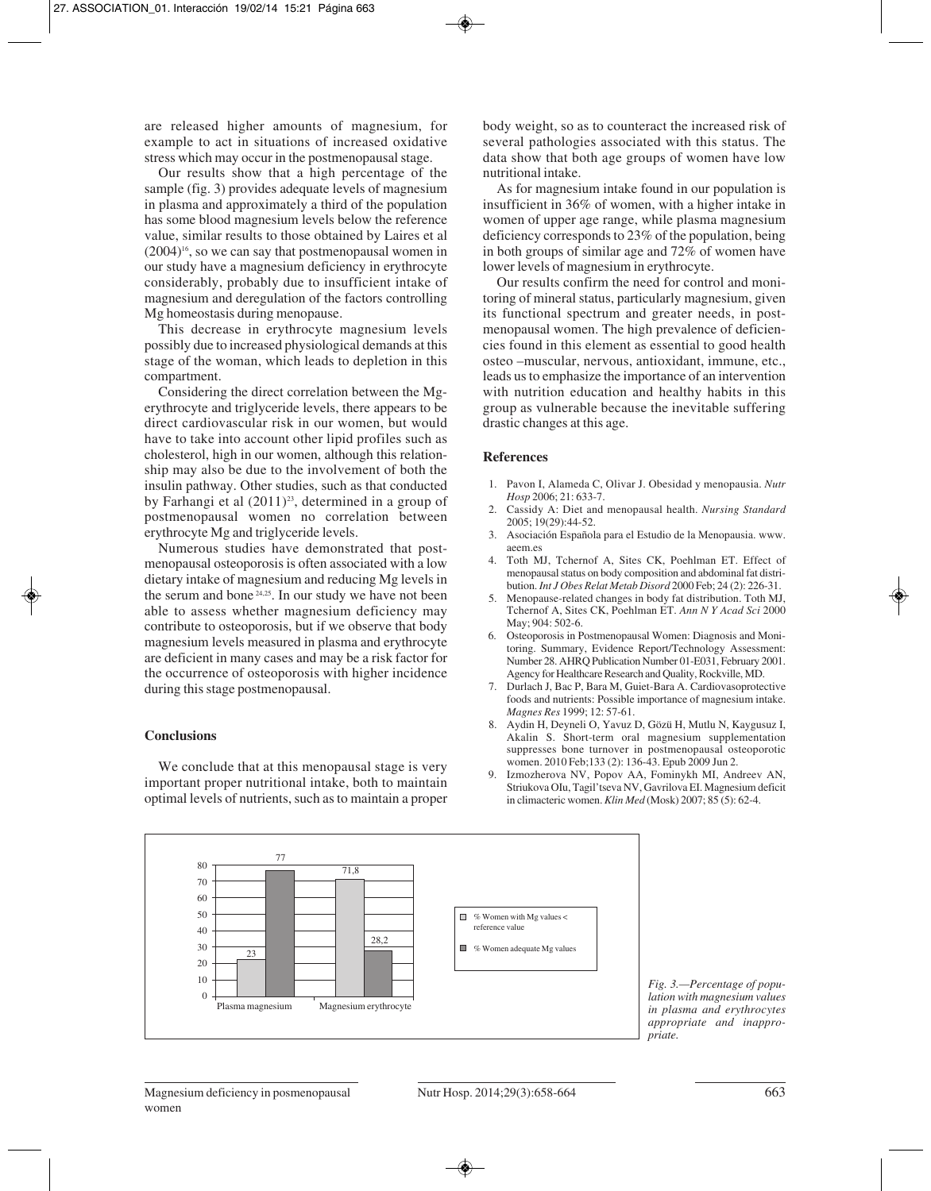are released higher amounts of magnesium, for example to act in situations of increased oxidative stress which may occur in the postmenopausal stage.

Our results show that a high percentage of the sample (fig. 3) provides adequate levels of magnesium in plasma and approximately a third of the population has some blood magnesium levels below the reference value, similar results to those obtained by Laires et al  $(2004)^{16}$ , so we can say that postmenopausal women in our study have a magnesium deficiency in erythrocyte considerably, probably due to insufficient intake of magnesium and deregulation of the factors controlling Mg homeostasis during menopause.

This decrease in erythrocyte magnesium levels possibly due to increased physiological demands at this stage of the woman, which leads to depletion in this compartment.

Considering the direct correlation between the Mgerythrocyte and triglyceride levels, there appears to be direct cardiovascular risk in our women, but would have to take into account other lipid profiles such as cholesterol, high in our women, although this relationship may also be due to the involvement of both the insulin pathway. Other studies, such as that conducted by Farhangi et al  $(2011)^{23}$ , determined in a group of postmenopausal women no correlation between erythrocyte Mg and triglyceride levels.

Numerous studies have demonstrated that postmenopausal osteoporosis is often associated with a low dietary intake of magnesium and reducing Mg levels in the serum and bone 24,25. In our study we have not been able to assess whether magnesium deficiency may contribute to osteoporosis, but if we observe that body magnesium levels measured in plasma and erythrocyte are deficient in many cases and may be a risk factor for the occurrence of osteoporosis with higher incidence during this stage postmenopausal.

#### **Conclusions**

We conclude that at this menopausal stage is very important proper nutritional intake, both to maintain optimal levels of nutrients, such as to maintain a proper body weight, so as to counteract the increased risk of several pathologies associated with this status. The data show that both age groups of women have low nutritional intake.

As for magnesium intake found in our population is insufficient in 36% of women, with a higher intake in women of upper age range, while plasma magnesium deficiency corresponds to 23% of the population, being in both groups of similar age and 72% of women have lower levels of magnesium in erythrocyte.

Our results confirm the need for control and monitoring of mineral status, particularly magnesium, given its functional spectrum and greater needs, in postmenopausal women. The high prevalence of deficiencies found in this element as essential to good health osteo –muscular, nervous, antioxidant, immune, etc., leads us to emphasize the importance of an intervention with nutrition education and healthy habits in this group as vulnerable because the inevitable suffering drastic changes at this age.

#### **References**

- 1. Pavon I, Alameda C, Olivar J. Obesidad y menopausia. *Nutr Hosp* 2006; 21: 633-7.
- 2. Cassidy A: Diet and menopausal health. *Nursing Standard* 2005; 19(29):44-52.
- 3. Asociación Española para el Estudio de la Menopausia. www. aeem.es
- 4. Toth MJ, Tchernof A, Sites CK, Poehlman ET. Effect of menopausal status on body composition and abdominal fat distribution. *Int J Obes Relat Metab Disord* 2000 Feb; 24 (2): 226-31.
- 5. Menopause-related changes in body fat distribution. Toth MJ, Tchernof A, Sites CK, Poehlman ET. *Ann N Y Acad Sci* 2000 May; 904: 502-6.
- 6. Osteoporosis in Postmenopausal Women: Diagnosis and Monitoring. Summary, Evidence Report/Technology Assessment: Number 28. AHRQ Publication Number 01-E031, February 2001. Agency for Healthcare Research and Quality, Rockville, MD.
- 7. Durlach J, Bac P, Bara M, Guiet-Bara A. Cardiovasoprotective foods and nutrients: Possible importance of magnesium intake. *Magnes Res* 1999; 12: 57-61.
- 8. Aydin H, Deyneli O, Yavuz D, Gözü H, Mutlu N, Kaygusuz I, Akalin S. Short-term oral magnesium supplementation suppresses bone turnover in postmenopausal osteoporotic women. 2010 Feb;133 (2): 136-43. Epub 2009 Jun 2.
- 9. Izmozherova NV, Popov AA, Fominykh MI, Andreev AN, Striukova OIu, Tagil'tseva NV, Gavrilova EI. Magnesium deficit in climacteric women. *Klin Med* (Mosk) 2007; 85 (5): 62-4.



*Fig. 3.—Percentage of population with magnesium values in plasma and erythrocytes appropriate and inappropriate.*